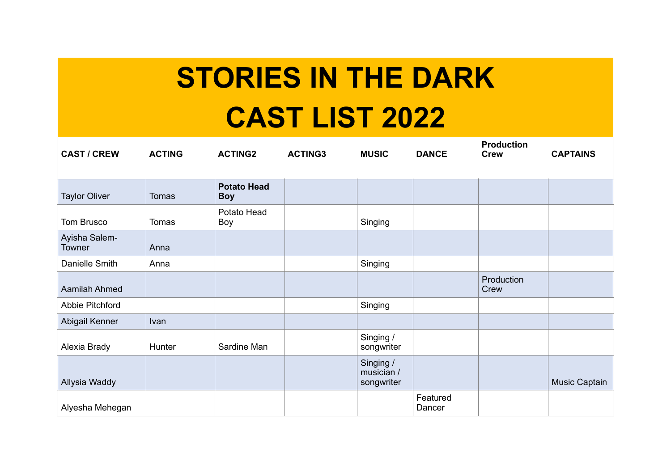## **STORIES IN THE DARK CAST LIST 2022**

| <b>CAST / CREW</b>             | <b>ACTING</b> | <b>ACTING2</b>                   | <b>ACTING3</b> | <b>MUSIC</b>                          | <b>DANCE</b>       | <b>Production</b><br><b>Crew</b> | <b>CAPTAINS</b> |
|--------------------------------|---------------|----------------------------------|----------------|---------------------------------------|--------------------|----------------------------------|-----------------|
| <b>Taylor Oliver</b>           | <b>Tomas</b>  | <b>Potato Head</b><br><b>Boy</b> |                |                                       |                    |                                  |                 |
| Tom Brusco                     | <b>Tomas</b>  | Potato Head<br>Boy               |                | Singing                               |                    |                                  |                 |
| Ayisha Salem-<br><b>Towner</b> | Anna          |                                  |                |                                       |                    |                                  |                 |
| Danielle Smith                 | Anna          |                                  |                | Singing                               |                    |                                  |                 |
| Aamilah Ahmed                  |               |                                  |                |                                       |                    | Production<br>Crew               |                 |
| Abbie Pitchford                |               |                                  |                | Singing                               |                    |                                  |                 |
| Abigail Kenner                 | Ivan          |                                  |                |                                       |                    |                                  |                 |
| Alexia Brady                   | Hunter        | Sardine Man                      |                | Singing /<br>songwriter               |                    |                                  |                 |
| Allysia Waddy                  |               |                                  |                | Singing /<br>musician /<br>songwriter |                    |                                  | Music Captain   |
| Alyesha Mehegan                |               |                                  |                |                                       | Featured<br>Dancer |                                  |                 |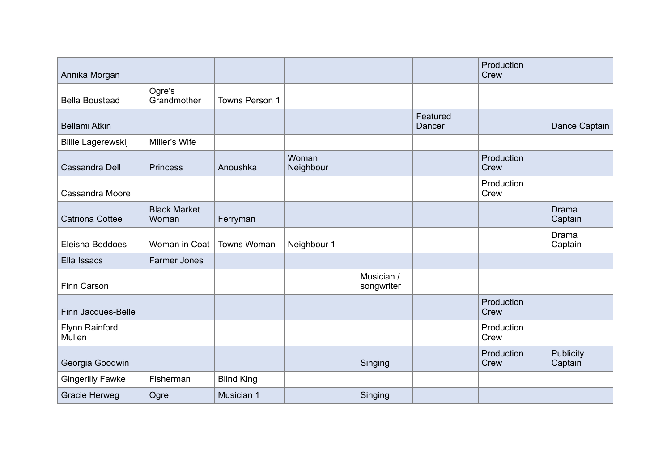| Annika Morgan            |                              |                    |                    |                          |                    | Production<br>Crew |                         |
|--------------------------|------------------------------|--------------------|--------------------|--------------------------|--------------------|--------------------|-------------------------|
| <b>Bella Boustead</b>    | Ogre's<br>Grandmother        | Towns Person 1     |                    |                          |                    |                    |                         |
| <b>Bellami Atkin</b>     |                              |                    |                    |                          | Featured<br>Dancer |                    | Dance Captain           |
| Billie Lagerewskij       | Miller's Wife                |                    |                    |                          |                    |                    |                         |
| Cassandra Dell           | <b>Princess</b>              | Anoushka           | Woman<br>Neighbour |                          |                    | Production<br>Crew |                         |
| Cassandra Moore          |                              |                    |                    |                          |                    | Production<br>Crew |                         |
| <b>Catriona Cottee</b>   | <b>Black Market</b><br>Woman | Ferryman           |                    |                          |                    |                    | <b>Drama</b><br>Captain |
| Eleisha Beddoes          | Woman in Coat                | <b>Towns Woman</b> | Neighbour 1        |                          |                    |                    | Drama<br>Captain        |
| Ella Issacs              | <b>Farmer Jones</b>          |                    |                    |                          |                    |                    |                         |
| Finn Carson              |                              |                    |                    | Musician /<br>songwriter |                    |                    |                         |
| Finn Jacques-Belle       |                              |                    |                    |                          |                    | Production<br>Crew |                         |
| Flynn Rainford<br>Mullen |                              |                    |                    |                          |                    | Production<br>Crew |                         |
| Georgia Goodwin          |                              |                    |                    | Singing                  |                    | Production<br>Crew | Publicity<br>Captain    |
| <b>Gingerlily Fawke</b>  | Fisherman                    | <b>Blind King</b>  |                    |                          |                    |                    |                         |
| Gracie Herweg            | Ogre                         | Musician 1         |                    | Singing                  |                    |                    |                         |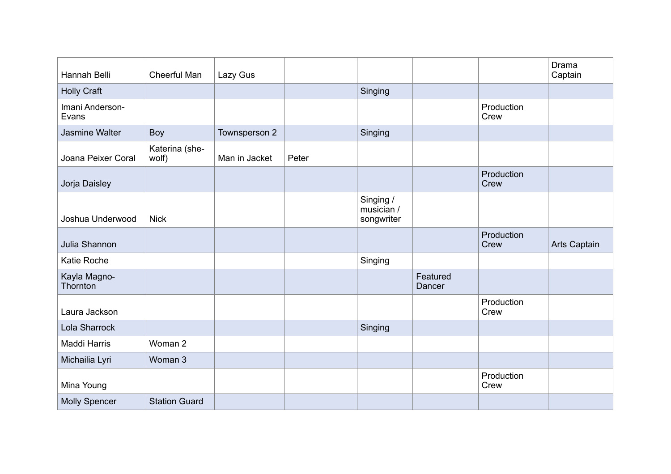| Hannah Belli             | Cheerful Man            | Lazy Gus      |       |                                       |                    |                    | Drama<br>Captain |
|--------------------------|-------------------------|---------------|-------|---------------------------------------|--------------------|--------------------|------------------|
| <b>Holly Craft</b>       |                         |               |       | Singing                               |                    |                    |                  |
| Imani Anderson-<br>Evans |                         |               |       |                                       |                    | Production<br>Crew |                  |
| Jasmine Walter           | Boy                     | Townsperson 2 |       | Singing                               |                    |                    |                  |
| Joana Peixer Coral       | Katerina (she-<br>wolf) | Man in Jacket | Peter |                                       |                    |                    |                  |
| Jorja Daisley            |                         |               |       |                                       |                    | Production<br>Crew |                  |
| Joshua Underwood         | <b>Nick</b>             |               |       | Singing /<br>musician /<br>songwriter |                    |                    |                  |
| Julia Shannon            |                         |               |       |                                       |                    | Production<br>Crew | Arts Captain     |
| <b>Katie Roche</b>       |                         |               |       | Singing                               |                    |                    |                  |
| Kayla Magno-<br>Thornton |                         |               |       |                                       | Featured<br>Dancer |                    |                  |
| Laura Jackson            |                         |               |       |                                       |                    | Production<br>Crew |                  |
| Lola Sharrock            |                         |               |       | Singing                               |                    |                    |                  |
| Maddi Harris             | Woman 2                 |               |       |                                       |                    |                    |                  |
| Michailia Lyri           | Woman 3                 |               |       |                                       |                    |                    |                  |
| Mina Young               |                         |               |       |                                       |                    | Production<br>Crew |                  |
| <b>Molly Spencer</b>     | <b>Station Guard</b>    |               |       |                                       |                    |                    |                  |